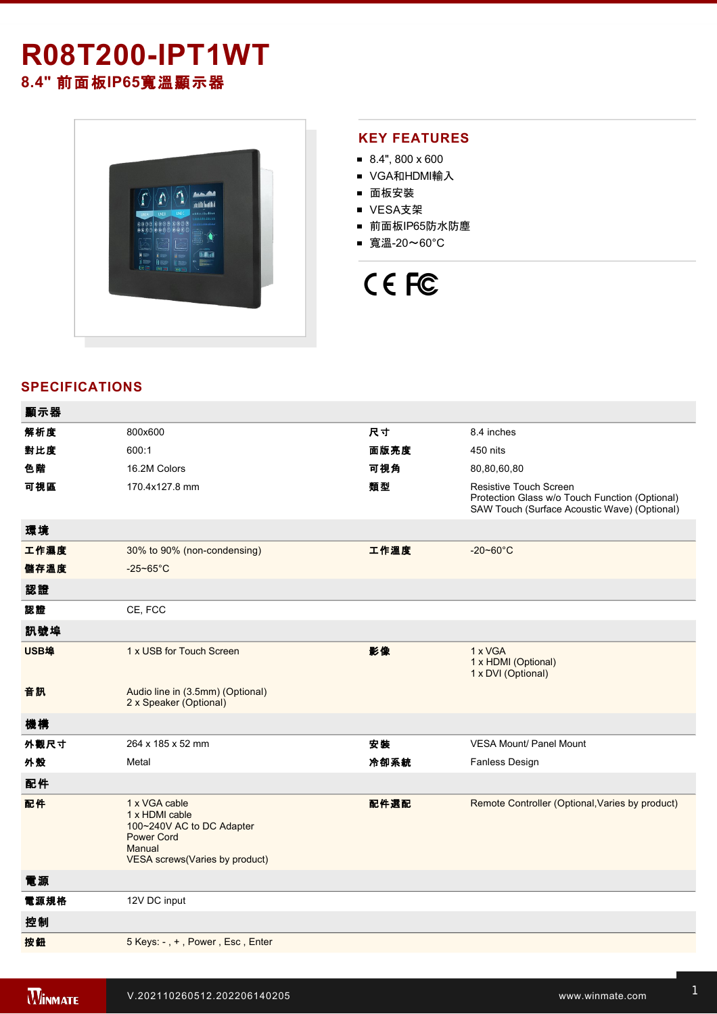## **R08T200IPT1WT 8.4"** 前面板**IP65**寬溫顯示器



#### **KEY FEATURES**

- 8.4", 800 x 600
- VGA和HDMI輸入
- 面板安裝
- VESA支架
- 前面板IP65防水防塵
- 寬溫-20~60°C

# CE FC

### **SPECIFICATIONS**

| 顯示器  |                                                                                                                               |      |                                                                                                                                 |
|------|-------------------------------------------------------------------------------------------------------------------------------|------|---------------------------------------------------------------------------------------------------------------------------------|
| 解析度  | 800x600                                                                                                                       | 尺寸   | 8.4 inches                                                                                                                      |
| 對比度  | 600:1                                                                                                                         | 面版亮度 | 450 nits                                                                                                                        |
| 色階   | 16.2M Colors                                                                                                                  | 可視角  | 80,80,60,80                                                                                                                     |
| 可視區  | 170.4x127.8 mm                                                                                                                | 類型   | <b>Resistive Touch Screen</b><br>Protection Glass w/o Touch Function (Optional)<br>SAW Touch (Surface Acoustic Wave) (Optional) |
| 環境   |                                                                                                                               |      |                                                                                                                                 |
| 工作濕度 | 30% to 90% (non-condensing)                                                                                                   | 工作溫度 | $-20 - 60^{\circ}$ C                                                                                                            |
| 儲存溫度 | $-25 - 65$ °C                                                                                                                 |      |                                                                                                                                 |
| 認證   |                                                                                                                               |      |                                                                                                                                 |
| 認證   | CE, FCC                                                                                                                       |      |                                                                                                                                 |
| 訊號埠  |                                                                                                                               |      |                                                                                                                                 |
| USB埠 | 1 x USB for Touch Screen                                                                                                      | 影像   | 1 x VGA<br>1 x HDMI (Optional)<br>1 x DVI (Optional)                                                                            |
| 音訊   | Audio line in (3.5mm) (Optional)<br>2 x Speaker (Optional)                                                                    |      |                                                                                                                                 |
| 機構   |                                                                                                                               |      |                                                                                                                                 |
| 外觀尺寸 | 264 x 185 x 52 mm                                                                                                             | 安装   | <b>VESA Mount/ Panel Mount</b>                                                                                                  |
| 外殼   | Metal                                                                                                                         | 冷卻系統 | Fanless Design                                                                                                                  |
| 配件   |                                                                                                                               |      |                                                                                                                                 |
| 配件   | 1 x VGA cable<br>1 x HDMI cable<br>100~240V AC to DC Adapter<br><b>Power Cord</b><br>Manual<br>VESA screws(Varies by product) | 配件選配 | Remote Controller (Optional, Varies by product)                                                                                 |
| 電源   |                                                                                                                               |      |                                                                                                                                 |
| 電源規格 | 12V DC input                                                                                                                  |      |                                                                                                                                 |
| 控制   |                                                                                                                               |      |                                                                                                                                 |
| 按鈕   | 5 Keys: -, +, Power, Esc, Enter                                                                                               |      |                                                                                                                                 |
|      |                                                                                                                               |      |                                                                                                                                 |